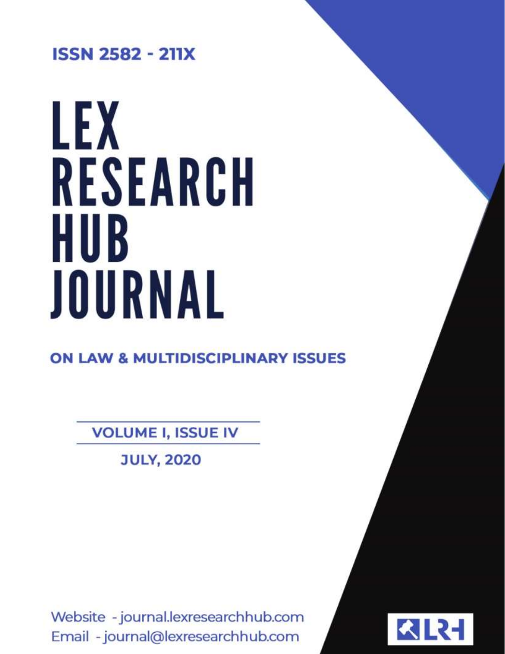**ISSN 2582 - 211X** 

# LEX RESEARCH HUB JOURNAL

**ON LAW & MULTIDISCIPLINARY ISSUES** 

**VOLUME I, ISSUE IV** 

**JULY, 2020** 

Website - journal.lexresearchhub.com Email - journal@lexresearchhub.com

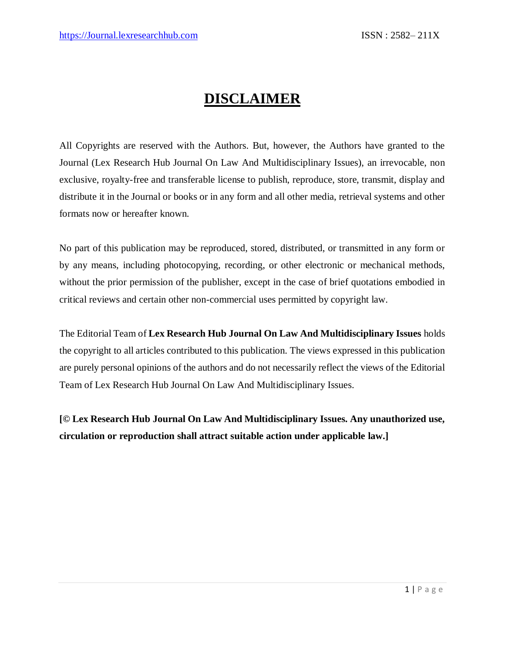# **DISCLAIMER**

All Copyrights are reserved with the Authors. But, however, the Authors have granted to the Journal (Lex Research Hub Journal On Law And Multidisciplinary Issues), an irrevocable, non exclusive, royalty-free and transferable license to publish, reproduce, store, transmit, display and distribute it in the Journal or books or in any form and all other media, retrieval systems and other formats now or hereafter known.

No part of this publication may be reproduced, stored, distributed, or transmitted in any form or by any means, including photocopying, recording, or other electronic or mechanical methods, without the prior permission of the publisher, except in the case of brief quotations embodied in critical reviews and certain other non-commercial uses permitted by copyright law.

The Editorial Team of **Lex Research Hub Journal On Law And Multidisciplinary Issues** holds the copyright to all articles contributed to this publication. The views expressed in this publication are purely personal opinions of the authors and do not necessarily reflect the views of the Editorial Team of Lex Research Hub Journal On Law And Multidisciplinary Issues.

**[© Lex Research Hub Journal On Law And Multidisciplinary Issues. Any unauthorized use, circulation or reproduction shall attract suitable action under applicable law.]**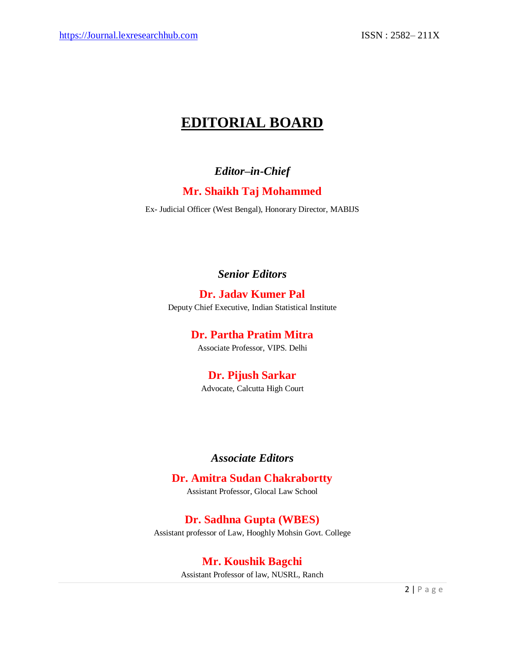# **EDITORIAL BOARD**

#### *Editor–in-Chief*

#### **Mr. Shaikh Taj Mohammed**

Ex- Judicial Officer (West Bengal), Honorary Director, MABIJS

*Senior Editors*

**Dr. Jadav Kumer Pal** Deputy Chief Executive, Indian Statistical Institute

**Dr. Partha Pratim Mitra**

Associate Professor, VIPS. Delhi

### **Dr. Pijush Sarkar**

Advocate, Calcutta High Court

#### *Associate Editors*

#### **Dr. Amitra Sudan Chakrabortty**

Assistant Professor, Glocal Law School

**Dr. Sadhna Gupta (WBES)** Assistant professor of Law, Hooghly Mohsin Govt. College

#### **Mr. Koushik Bagchi**

Assistant Professor of law, NUSRL, Ranch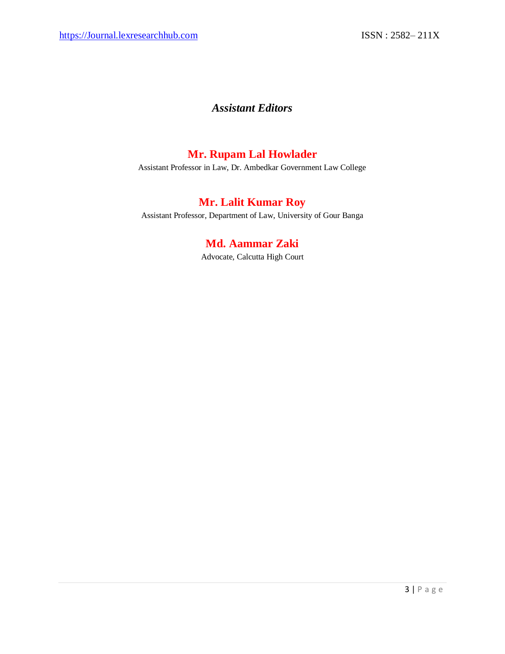#### *Assistant Editors*

#### **Mr. Rupam Lal Howlader**

Assistant Professor in Law, Dr. Ambedkar Government Law College

## **Mr. Lalit Kumar Roy**

Assistant Professor, Department of Law, University of Gour Banga

#### **Md. Aammar Zaki**

Advocate, Calcutta High Court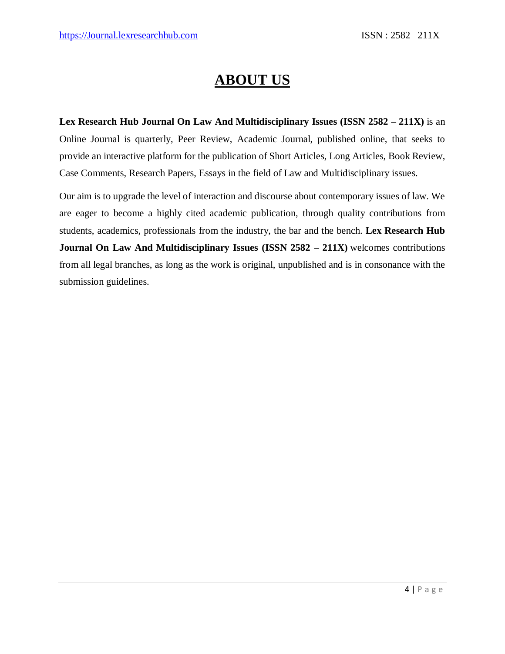# **ABOUT US**

**Lex Research Hub Journal On Law And Multidisciplinary Issues (ISSN 2582 – 211X)** is an Online Journal is quarterly, Peer Review, Academic Journal, published online, that seeks to provide an interactive platform for the publication of Short Articles, Long Articles, Book Review, Case Comments, Research Papers, Essays in the field of Law and Multidisciplinary issues.

Our aim is to upgrade the level of interaction and discourse about contemporary issues of law. We are eager to become a highly cited academic publication, through quality contributions from students, academics, professionals from the industry, the bar and the bench. **Lex Research Hub Journal On Law And Multidisciplinary Issues (ISSN 2582 – 211X)** welcomes contributions from all legal branches, as long as the work is original, unpublished and is in consonance with the submission guidelines.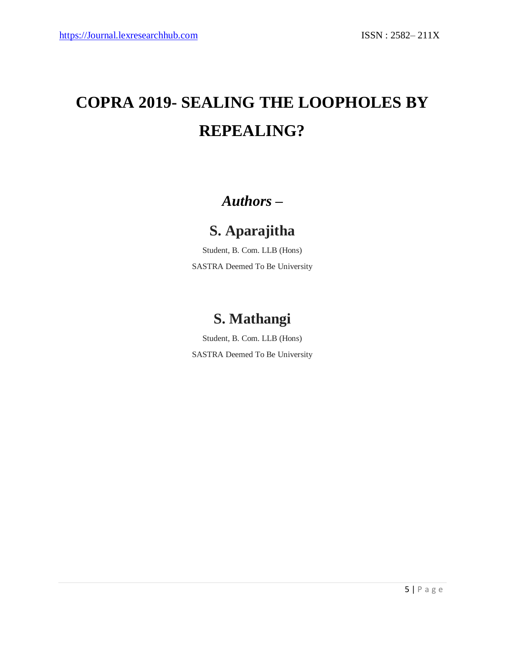# **COPRA 2019- SEALING THE LOOPHOLES BY REPEALING?**

# *Authors –*

# **S. Aparajitha**

Student, B. Com. LLB (Hons) SASTRA Deemed To Be University

# **S. Mathangi**

Student, B. Com. LLB (Hons) SASTRA Deemed To Be University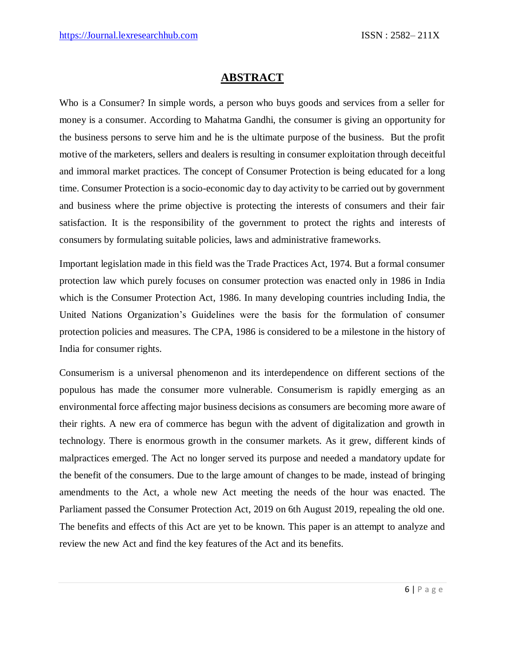#### **ABSTRACT**

Who is a Consumer? In simple words, a person who buys goods and services from a seller for money is a consumer. According to Mahatma Gandhi, the consumer is giving an opportunity for the business persons to serve him and he is the ultimate purpose of the business. But the profit motive of the marketers, sellers and dealers is resulting in consumer exploitation through deceitful and immoral market practices. The concept of Consumer Protection is being educated for a long time. Consumer Protection is a socio-economic day to day activity to be carried out by government and business where the prime objective is protecting the interests of consumers and their fair satisfaction. It is the responsibility of the government to protect the rights and interests of consumers by formulating suitable policies, laws and administrative frameworks.

Important legislation made in this field was the Trade Practices Act, 1974. But a formal consumer protection law which purely focuses on consumer protection was enacted only in 1986 in India which is the Consumer Protection Act, 1986. In many developing countries including India, the United Nations Organization's Guidelines were the basis for the formulation of consumer protection policies and measures. The CPA, 1986 is considered to be a milestone in the history of India for consumer rights.

Consumerism is a universal phenomenon and its interdependence on different sections of the populous has made the consumer more vulnerable. Consumerism is rapidly emerging as an environmental force affecting major business decisions as consumers are becoming more aware of their rights. A new era of commerce has begun with the advent of digitalization and growth in technology. There is enormous growth in the consumer markets. As it grew, different kinds of malpractices emerged. The Act no longer served its purpose and needed a mandatory update for the benefit of the consumers. Due to the large amount of changes to be made, instead of bringing amendments to the Act, a whole new Act meeting the needs of the hour was enacted. The Parliament passed the Consumer Protection Act, 2019 on 6th August 2019, repealing the old one. The benefits and effects of this Act are yet to be known. This paper is an attempt to analyze and review the new Act and find the key features of the Act and its benefits.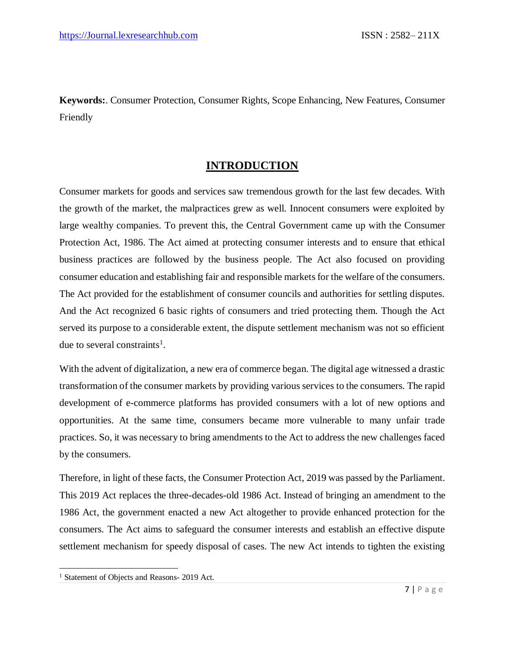**Keywords:**. Consumer Protection, Consumer Rights, Scope Enhancing, New Features, Consumer Friendly

#### **INTRODUCTION**

Consumer markets for goods and services saw tremendous growth for the last few decades. With the growth of the market, the malpractices grew as well. Innocent consumers were exploited by large wealthy companies. To prevent this, the Central Government came up with the Consumer Protection Act, 1986. The Act aimed at protecting consumer interests and to ensure that ethical business practices are followed by the business people. The Act also focused on providing consumer education and establishing fair and responsible markets for the welfare of the consumers. The Act provided for the establishment of consumer councils and authorities for settling disputes. And the Act recognized 6 basic rights of consumers and tried protecting them. Though the Act served its purpose to a considerable extent, the dispute settlement mechanism was not so efficient due to several constraints<sup>1</sup>.

With the advent of digitalization, a new era of commerce began. The digital age witnessed a drastic transformation of the consumer markets by providing various services to the consumers. The rapid development of e-commerce platforms has provided consumers with a lot of new options and opportunities. At the same time, consumers became more vulnerable to many unfair trade practices. So, it was necessary to bring amendments to the Act to address the new challenges faced by the consumers.

Therefore, in light of these facts, the Consumer Protection Act, 2019 was passed by the Parliament. This 2019 Act replaces the three-decades-old 1986 Act. Instead of bringing an amendment to the 1986 Act, the government enacted a new Act altogether to provide enhanced protection for the consumers. The Act aims to safeguard the consumer interests and establish an effective dispute settlement mechanism for speedy disposal of cases. The new Act intends to tighten the existing

 $\overline{a}$ 

<sup>&</sup>lt;sup>1</sup> Statement of Objects and Reasons- 2019 Act.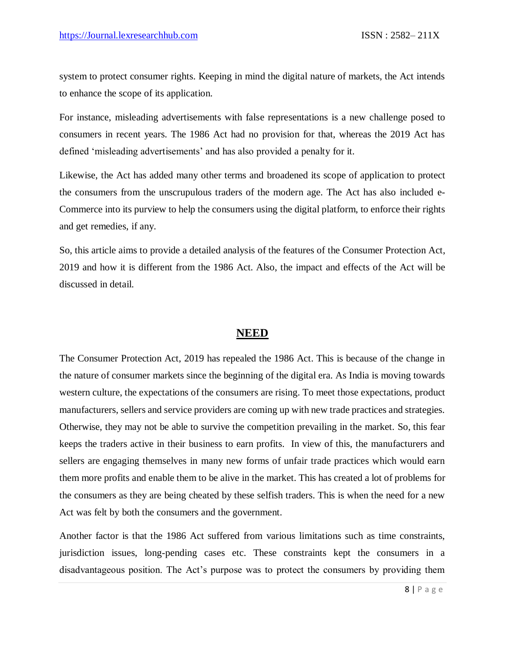system to protect consumer rights. Keeping in mind the digital nature of markets, the Act intends to enhance the scope of its application.

For instance, misleading advertisements with false representations is a new challenge posed to consumers in recent years. The 1986 Act had no provision for that, whereas the 2019 Act has defined 'misleading advertisements' and has also provided a penalty for it.

Likewise, the Act has added many other terms and broadened its scope of application to protect the consumers from the unscrupulous traders of the modern age. The Act has also included e-Commerce into its purview to help the consumers using the digital platform, to enforce their rights and get remedies, if any.

So, this article aims to provide a detailed analysis of the features of the Consumer Protection Act, 2019 and how it is different from the 1986 Act. Also, the impact and effects of the Act will be discussed in detail.

#### **NEED**

The Consumer Protection Act, 2019 has repealed the 1986 Act. This is because of the change in the nature of consumer markets since the beginning of the digital era. As India is moving towards western culture, the expectations of the consumers are rising. To meet those expectations, product manufacturers, sellers and service providers are coming up with new trade practices and strategies. Otherwise, they may not be able to survive the competition prevailing in the market. So, this fear keeps the traders active in their business to earn profits. In view of this, the manufacturers and sellers are engaging themselves in many new forms of unfair trade practices which would earn them more profits and enable them to be alive in the market. This has created a lot of problems for the consumers as they are being cheated by these selfish traders. This is when the need for a new Act was felt by both the consumers and the government.

Another factor is that the 1986 Act suffered from various limitations such as time constraints, jurisdiction issues, long-pending cases etc. These constraints kept the consumers in a disadvantageous position. The Act's purpose was to protect the consumers by providing them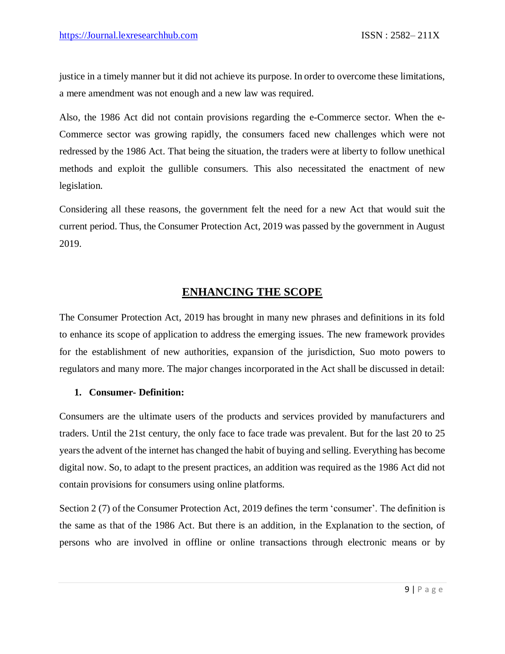justice in a timely manner but it did not achieve its purpose. In order to overcome these limitations, a mere amendment was not enough and a new law was required.

Also, the 1986 Act did not contain provisions regarding the e-Commerce sector. When the e-Commerce sector was growing rapidly, the consumers faced new challenges which were not redressed by the 1986 Act. That being the situation, the traders were at liberty to follow unethical methods and exploit the gullible consumers. This also necessitated the enactment of new legislation.

Considering all these reasons, the government felt the need for a new Act that would suit the current period. Thus, the Consumer Protection Act, 2019 was passed by the government in August 2019.

#### **ENHANCING THE SCOPE**

The Consumer Protection Act, 2019 has brought in many new phrases and definitions in its fold to enhance its scope of application to address the emerging issues. The new framework provides for the establishment of new authorities, expansion of the jurisdiction, Suo moto powers to regulators and many more. The major changes incorporated in the Act shall be discussed in detail:

#### **1. Consumer- Definition:**

Consumers are the ultimate users of the products and services provided by manufacturers and traders. Until the 21st century, the only face to face trade was prevalent. But for the last 20 to 25 years the advent of the internet has changed the habit of buying and selling. Everything has become digital now. So, to adapt to the present practices, an addition was required as the 1986 Act did not contain provisions for consumers using online platforms.

Section 2 (7) of the Consumer Protection Act, 2019 defines the term 'consumer'. The definition is the same as that of the 1986 Act. But there is an addition, in the Explanation to the section, of persons who are involved in offline or online transactions through electronic means or by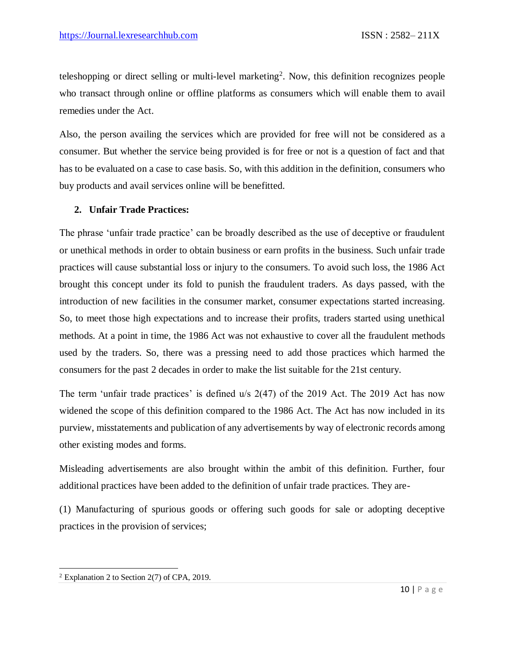teleshopping or direct selling or multi-level marketing<sup>2</sup>. Now, this definition recognizes people who transact through online or offline platforms as consumers which will enable them to avail remedies under the Act.

Also, the person availing the services which are provided for free will not be considered as a consumer. But whether the service being provided is for free or not is a question of fact and that has to be evaluated on a case to case basis. So, with this addition in the definition, consumers who buy products and avail services online will be benefitted.

#### **2. Unfair Trade Practices:**

The phrase 'unfair trade practice' can be broadly described as the use of deceptive or fraudulent or unethical methods in order to obtain business or earn profits in the business. Such unfair trade practices will cause substantial loss or injury to the consumers. To avoid such loss, the 1986 Act brought this concept under its fold to punish the fraudulent traders. As days passed, with the introduction of new facilities in the consumer market, consumer expectations started increasing. So, to meet those high expectations and to increase their profits, traders started using unethical methods. At a point in time, the 1986 Act was not exhaustive to cover all the fraudulent methods used by the traders. So, there was a pressing need to add those practices which harmed the consumers for the past 2 decades in order to make the list suitable for the 21st century.

The term 'unfair trade practices' is defined u/s 2(47) of the 2019 Act. The 2019 Act has now widened the scope of this definition compared to the 1986 Act. The Act has now included in its purview, misstatements and publication of any advertisements by way of electronic records among other existing modes and forms.

Misleading advertisements are also brought within the ambit of this definition. Further, four additional practices have been added to the definition of unfair trade practices. They are-

(1) Manufacturing of spurious goods or offering such goods for sale or adopting deceptive practices in the provision of services;

 $\overline{a}$  $2$  Explanation 2 to Section 2(7) of CPA, 2019.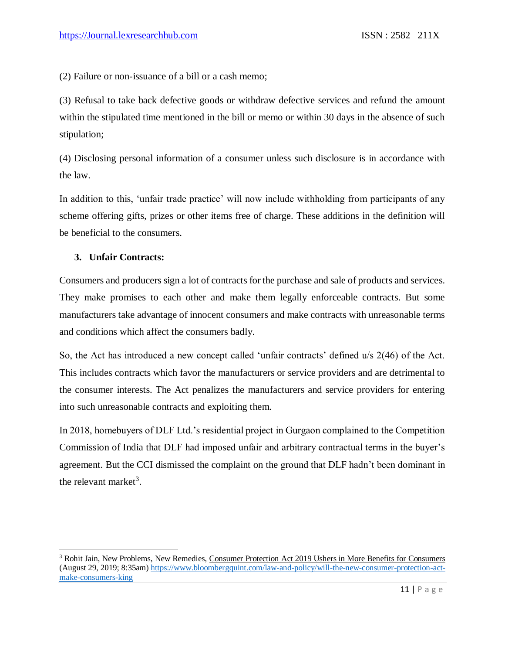(2) Failure or non-issuance of a bill or a cash memo;

(3) Refusal to take back defective goods or withdraw defective services and refund the amount within the stipulated time mentioned in the bill or memo or within 30 days in the absence of such stipulation;

(4) Disclosing personal information of a consumer unless such disclosure is in accordance with the law.

In addition to this, 'unfair trade practice' will now include withholding from participants of any scheme offering gifts, prizes or other items free of charge. These additions in the definition will be beneficial to the consumers.

#### **3. Unfair Contracts:**

 $\overline{\phantom{a}}$ 

Consumers and producers sign a lot of contracts for the purchase and sale of products and services. They make promises to each other and make them legally enforceable contracts. But some manufacturers take advantage of innocent consumers and make contracts with unreasonable terms and conditions which affect the consumers badly.

So, the Act has introduced a new concept called 'unfair contracts' defined u/s 2(46) of the Act. This includes contracts which favor the manufacturers or service providers and are detrimental to the consumer interests. The Act penalizes the manufacturers and service providers for entering into such unreasonable contracts and exploiting them.

In 2018, homebuyers of DLF Ltd.'s residential project in Gurgaon complained to the Competition Commission of India that DLF had imposed unfair and arbitrary contractual terms in the buyer's agreement. But the CCI dismissed the complaint on the ground that DLF hadn't been dominant in the relevant market<sup>3</sup>.

<sup>3</sup> Rohit Jain, New Problems, New Remedies, Consumer Protection Act 2019 Ushers in More Benefits for Consumers (August 29, 2019; 8:35am) [https://www.bloombergquint.com/law-and-policy/will-the-new-consumer-protection-act](https://www.bloombergquint.com/law-and-policy/will-the-new-consumer-protection-act-make-consumers-king)[make-consumers-king](https://www.bloombergquint.com/law-and-policy/will-the-new-consumer-protection-act-make-consumers-king)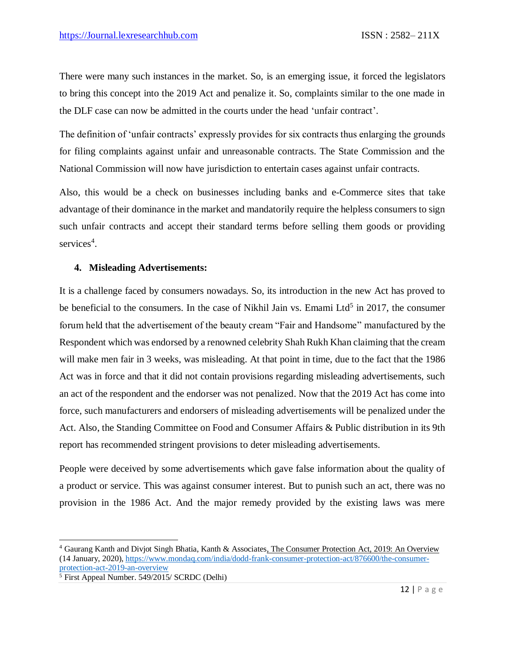There were many such instances in the market. So, is an emerging issue, it forced the legislators to bring this concept into the 2019 Act and penalize it. So, complaints similar to the one made in the DLF case can now be admitted in the courts under the head 'unfair contract'.

The definition of 'unfair contracts' expressly provides for six contracts thus enlarging the grounds for filing complaints against unfair and unreasonable contracts. The State Commission and the National Commission will now have jurisdiction to entertain cases against unfair contracts.

Also, this would be a check on businesses including banks and e-Commerce sites that take advantage of their dominance in the market and mandatorily require the helpless consumers to sign such unfair contracts and accept their standard terms before selling them goods or providing services<sup>4</sup>.

#### **4. Misleading Advertisements:**

It is a challenge faced by consumers nowadays. So, its introduction in the new Act has proved to be beneficial to the consumers. In the case of Nikhil Jain vs. Emami Ltd<sup>5</sup> in 2017, the consumer forum held that the advertisement of the beauty cream "Fair and Handsome" manufactured by the Respondent which was endorsed by a renowned celebrity Shah Rukh Khan claiming that the cream will make men fair in 3 weeks, was misleading. At that point in time, due to the fact that the 1986 Act was in force and that it did not contain provisions regarding misleading advertisements, such an act of the respondent and the endorser was not penalized. Now that the 2019 Act has come into force, such manufacturers and endorsers of misleading advertisements will be penalized under the Act. Also, the Standing Committee on Food and Consumer Affairs & Public distribution in its 9th report has recommended stringent provisions to deter misleading advertisements.

People were deceived by some advertisements which gave false information about the quality of a product or service. This was against consumer interest. But to punish such an act, there was no provision in the 1986 Act. And the major remedy provided by the existing laws was mere

 $\overline{\phantom{a}}$ 

<sup>4</sup> Gaurang Kanth and Divjot Singh Bhatia, Kanth & Associates, The Consumer Protection Act, 2019: An Overview (14 January, 2020), [https://www.mondaq.com/india/dodd-frank-consumer-protection-act/876600/the-consumer](https://www.mondaq.com/india/dodd-frank-consumer-protection-act/876600/the-consumer-protection-act-2019-an-overview)[protection-act-2019-an-overview](https://www.mondaq.com/india/dodd-frank-consumer-protection-act/876600/the-consumer-protection-act-2019-an-overview)

 $\frac{1}{5}$  First Appeal Number. 549/2015/ SCRDC (Delhi)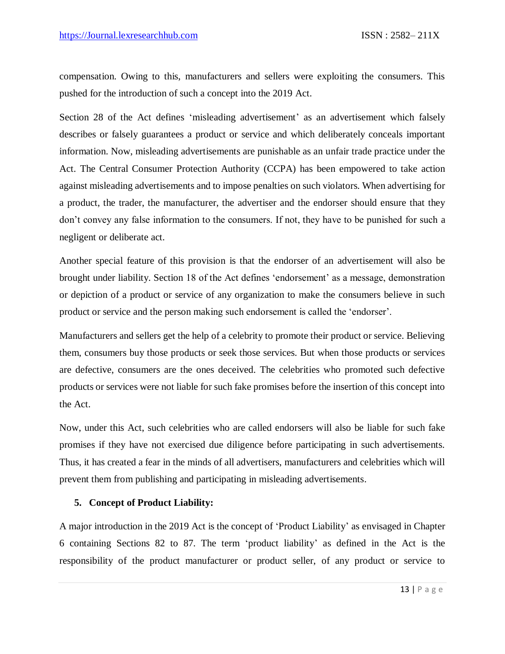compensation. Owing to this, manufacturers and sellers were exploiting the consumers. This pushed for the introduction of such a concept into the 2019 Act.

Section 28 of the Act defines 'misleading advertisement' as an advertisement which falsely describes or falsely guarantees a product or service and which deliberately conceals important information. Now, misleading advertisements are punishable as an unfair trade practice under the Act. The Central Consumer Protection Authority (CCPA) has been empowered to take action against misleading advertisements and to impose penalties on such violators. When advertising for a product, the trader, the manufacturer, the advertiser and the endorser should ensure that they don't convey any false information to the consumers. If not, they have to be punished for such a negligent or deliberate act.

Another special feature of this provision is that the endorser of an advertisement will also be brought under liability. Section 18 of the Act defines 'endorsement' as a message, demonstration or depiction of a product or service of any organization to make the consumers believe in such product or service and the person making such endorsement is called the 'endorser'.

Manufacturers and sellers get the help of a celebrity to promote their product or service. Believing them, consumers buy those products or seek those services. But when those products or services are defective, consumers are the ones deceived. The celebrities who promoted such defective products or services were not liable for such fake promises before the insertion of this concept into the Act.

Now, under this Act, such celebrities who are called endorsers will also be liable for such fake promises if they have not exercised due diligence before participating in such advertisements. Thus, it has created a fear in the minds of all advertisers, manufacturers and celebrities which will prevent them from publishing and participating in misleading advertisements.

#### **5. Concept of Product Liability:**

A major introduction in the 2019 Act is the concept of 'Product Liability' as envisaged in Chapter 6 containing Sections 82 to 87. The term 'product liability' as defined in the Act is the responsibility of the product manufacturer or product seller, of any product or service to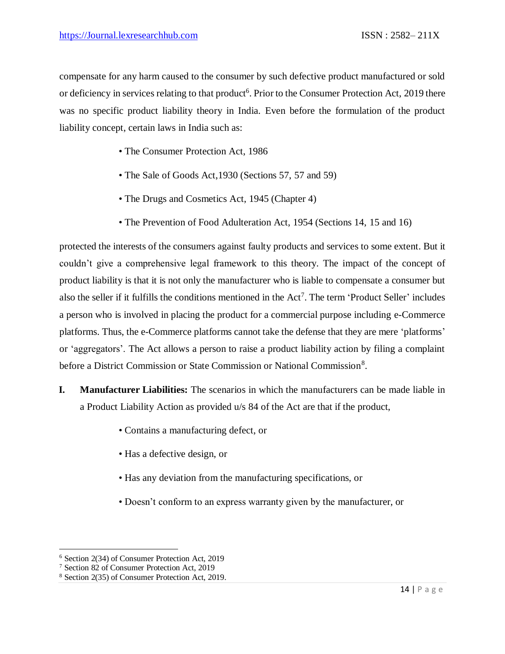compensate for any harm caused to the consumer by such defective product manufactured or sold or deficiency in services relating to that product<sup>6</sup>. Prior to the Consumer Protection Act, 2019 there was no specific product liability theory in India. Even before the formulation of the product liability concept, certain laws in India such as:

- The Consumer Protection Act, 1986
- The Sale of Goods Act,1930 (Sections 57, 57 and 59)
- The Drugs and Cosmetics Act, 1945 (Chapter 4)
- The Prevention of Food Adulteration Act, 1954 (Sections 14, 15 and 16)

protected the interests of the consumers against faulty products and services to some extent. But it couldn't give a comprehensive legal framework to this theory. The impact of the concept of product liability is that it is not only the manufacturer who is liable to compensate a consumer but also the seller if it fulfills the conditions mentioned in the Act<sup>7</sup>. The term 'Product Seller' includes a person who is involved in placing the product for a commercial purpose including e-Commerce platforms. Thus, the e-Commerce platforms cannot take the defense that they are mere 'platforms' or 'aggregators'. The Act allows a person to raise a product liability action by filing a complaint before a District Commission or State Commission or National Commission<sup>8</sup>.

- **I. Manufacturer Liabilities:** The scenarios in which the manufacturers can be made liable in a Product Liability Action as provided u/s 84 of the Act are that if the product,
	- Contains a manufacturing defect, or
	- Has a defective design, or
	- Has any deviation from the manufacturing specifications, or
	- Doesn't conform to an express warranty given by the manufacturer, or

 $\overline{\phantom{a}}$ <sup>6</sup> Section 2(34) of Consumer Protection Act, 2019

<sup>7</sup> Section 82 of Consumer Protection Act, 2019

<sup>8</sup> Section 2(35) of Consumer Protection Act, 2019.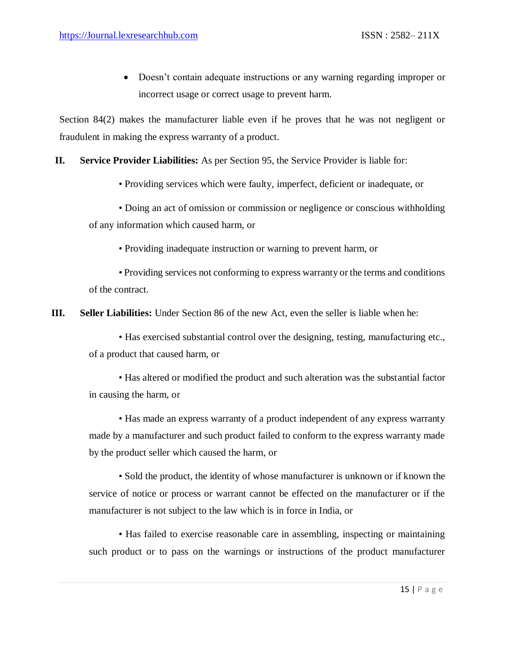Doesn't contain adequate instructions or any warning regarding improper or incorrect usage or correct usage to prevent harm.

Section 84(2) makes the manufacturer liable even if he proves that he was not negligent or fraudulent in making the express warranty of a product.

#### **II. Service Provider Liabilities:** As per Section 95, the Service Provider is liable for:

• Providing services which were faulty, imperfect, deficient or inadequate, or

• Doing an act of omission or commission or negligence or conscious withholding of any information which caused harm, or

• Providing inadequate instruction or warning to prevent harm, or

• Providing services not conforming to express warranty or the terms and conditions of the contract.

**III. Seller Liabilities:** Under Section 86 of the new Act, even the seller is liable when he:

• Has exercised substantial control over the designing, testing, manufacturing etc., of a product that caused harm, or

• Has altered or modified the product and such alteration was the substantial factor in causing the harm, or

• Has made an express warranty of a product independent of any express warranty made by a manufacturer and such product failed to conform to the express warranty made by the product seller which caused the harm, or

• Sold the product, the identity of whose manufacturer is unknown or if known the service of notice or process or warrant cannot be effected on the manufacturer or if the manufacturer is not subject to the law which is in force in India, or

• Has failed to exercise reasonable care in assembling, inspecting or maintaining such product or to pass on the warnings or instructions of the product manufacturer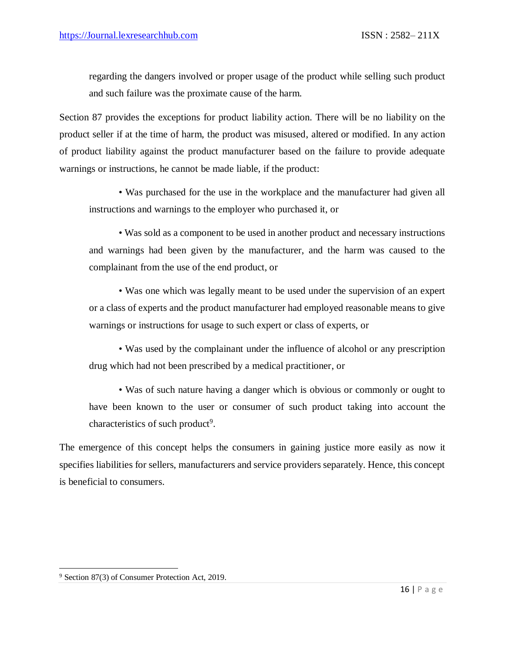regarding the dangers involved or proper usage of the product while selling such product and such failure was the proximate cause of the harm.

Section 87 provides the exceptions for product liability action. There will be no liability on the product seller if at the time of harm, the product was misused, altered or modified. In any action of product liability against the product manufacturer based on the failure to provide adequate warnings or instructions, he cannot be made liable, if the product:

• Was purchased for the use in the workplace and the manufacturer had given all instructions and warnings to the employer who purchased it, or

• Was sold as a component to be used in another product and necessary instructions and warnings had been given by the manufacturer, and the harm was caused to the complainant from the use of the end product, or

• Was one which was legally meant to be used under the supervision of an expert or a class of experts and the product manufacturer had employed reasonable means to give warnings or instructions for usage to such expert or class of experts, or

• Was used by the complainant under the influence of alcohol or any prescription drug which had not been prescribed by a medical practitioner, or

• Was of such nature having a danger which is obvious or commonly or ought to have been known to the user or consumer of such product taking into account the characteristics of such product<sup>9</sup>.

The emergence of this concept helps the consumers in gaining justice more easily as now it specifies liabilities for sellers, manufacturers and service providers separately. Hence, this concept is beneficial to consumers.

 $\overline{a}$ 

<sup>9</sup> Section 87(3) of Consumer Protection Act, 2019.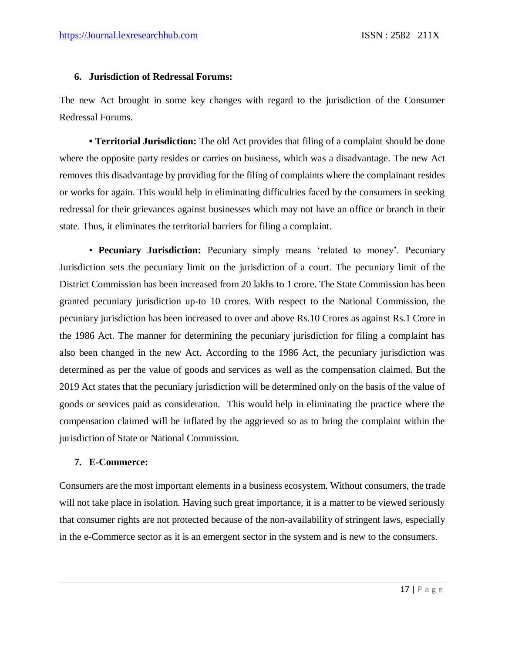#### **6. Jurisdiction of Redressal Forums:**

The new Act brought in some key changes with regard to the jurisdiction of the Consumer Redressal Forums.

**• Territorial Jurisdiction:** The old Act provides that filing of a complaint should be done where the opposite party resides or carries on business, which was a disadvantage. The new Act removes this disadvantage by providing for the filing of complaints where the complainant resides or works for again. This would help in eliminating difficulties faced by the consumers in seeking redressal for their grievances against businesses which may not have an office or branch in their state. Thus, it eliminates the territorial barriers for filing a complaint.

• **Pecuniary Jurisdiction:** Pecuniary simply means 'related to money'. Pecuniary Jurisdiction sets the pecuniary limit on the jurisdiction of a court. The pecuniary limit of the District Commission has been increased from 20 lakhs to 1 crore. The State Commission has been granted pecuniary jurisdiction up-to 10 crores. With respect to the National Commission, the pecuniary jurisdiction has been increased to over and above Rs.10 Crores as against Rs.1 Crore in the 1986 Act. The manner for determining the pecuniary jurisdiction for filing a complaint has also been changed in the new Act. According to the 1986 Act, the pecuniary jurisdiction was determined as per the value of goods and services as well as the compensation claimed. But the 2019 Act states that the pecuniary jurisdiction will be determined only on the basis of the value of goods or services paid as consideration. This would help in eliminating the practice where the compensation claimed will be inflated by the aggrieved so as to bring the complaint within the jurisdiction of State or National Commission.

#### **7. E-Commerce:**

Consumers are the most important elements in a business ecosystem. Without consumers, the trade will not take place in isolation. Having such great importance, it is a matter to be viewed seriously that consumer rights are not protected because of the non-availability of stringent laws, especially in the e-Commerce sector as it is an emergent sector in the system and is new to the consumers.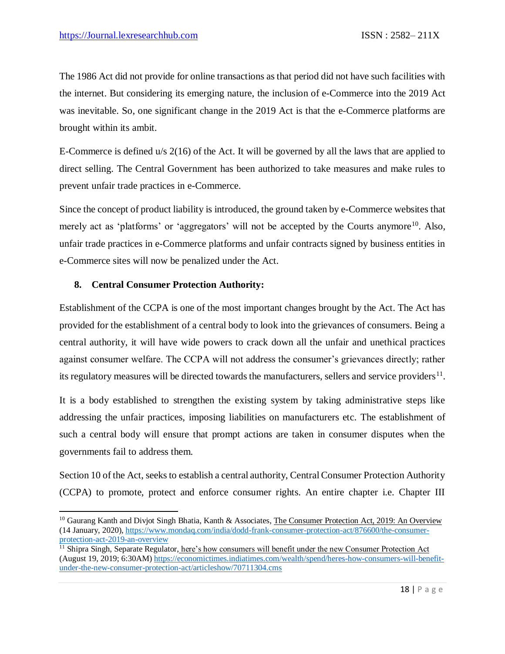The 1986 Act did not provide for online transactions as that period did not have such facilities with the internet. But considering its emerging nature, the inclusion of e-Commerce into the 2019 Act was inevitable. So, one significant change in the 2019 Act is that the e-Commerce platforms are brought within its ambit.

E-Commerce is defined u/s 2(16) of the Act. It will be governed by all the laws that are applied to direct selling. The Central Government has been authorized to take measures and make rules to prevent unfair trade practices in e-Commerce.

Since the concept of product liability is introduced, the ground taken by e-Commerce websites that merely act as 'platforms' or 'aggregators' will not be accepted by the Courts anymore<sup>10</sup>. Also, unfair trade practices in e-Commerce platforms and unfair contracts signed by business entities in e-Commerce sites will now be penalized under the Act.

#### **8. Central Consumer Protection Authority:**

 $\overline{a}$ 

Establishment of the CCPA is one of the most important changes brought by the Act. The Act has provided for the establishment of a central body to look into the grievances of consumers. Being a central authority, it will have wide powers to crack down all the unfair and unethical practices against consumer welfare. The CCPA will not address the consumer's grievances directly; rather its regulatory measures will be directed towards the manufacturers, sellers and service providers $^{11}$ .

It is a body established to strengthen the existing system by taking administrative steps like addressing the unfair practices, imposing liabilities on manufacturers etc. The establishment of such a central body will ensure that prompt actions are taken in consumer disputes when the governments fail to address them.

Section 10 of the Act, seeks to establish a central authority, Central Consumer Protection Authority (CCPA) to promote, protect and enforce consumer rights. An entire chapter i.e. Chapter III

<sup>&</sup>lt;sup>10</sup> Gaurang Kanth and Divjot Singh Bhatia, Kanth & Associates, The Consumer Protection Act, 2019: An Overview (14 January, 2020), [https://www.mondaq.com/india/dodd-frank-consumer-protection-act/876600/the-consumer](https://www.mondaq.com/india/dodd-frank-consumer-protection-act/876600/the-consumer-protection-act-2019-an-overview)[protection-act-2019-an-overview](https://www.mondaq.com/india/dodd-frank-consumer-protection-act/876600/the-consumer-protection-act-2019-an-overview)

 $11$  Shipra Singh, Separate Regulator, here's how consumers will benefit under the new Consumer Protection Act (August 19, 2019; 6:30AM[\) https://economictimes.indiatimes.com/wealth/spend/heres-how-consumers-will-benefit](https://economictimes.indiatimes.com/wealth/spend/heres-how-consumers-will-benefit-under-the-new-consumer-protection-act/articleshow/70711304.cms)[under-the-new-consumer-protection-act/articleshow/70711304.cms](https://economictimes.indiatimes.com/wealth/spend/heres-how-consumers-will-benefit-under-the-new-consumer-protection-act/articleshow/70711304.cms)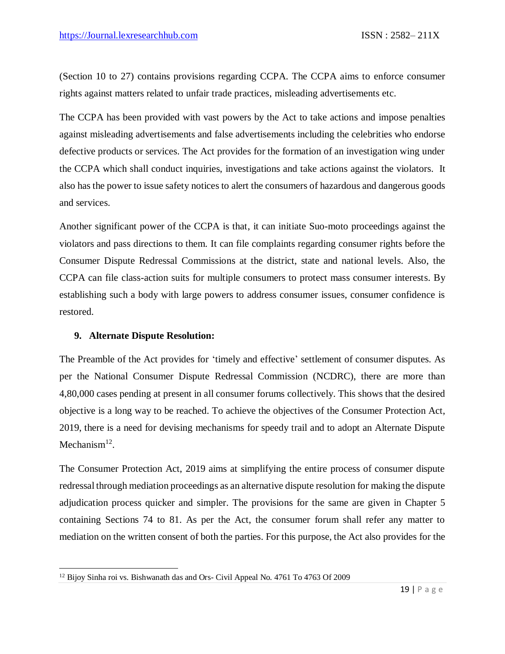(Section 10 to 27) contains provisions regarding CCPA. The CCPA aims to enforce consumer rights against matters related to unfair trade practices, misleading advertisements etc.

The CCPA has been provided with vast powers by the Act to take actions and impose penalties against misleading advertisements and false advertisements including the celebrities who endorse defective products or services. The Act provides for the formation of an investigation wing under the CCPA which shall conduct inquiries, investigations and take actions against the violators. It also has the power to issue safety notices to alert the consumers of hazardous and dangerous goods and services.

Another significant power of the CCPA is that, it can initiate Suo-moto proceedings against the violators and pass directions to them. It can file complaints regarding consumer rights before the Consumer Dispute Redressal Commissions at the district, state and national levels. Also, the CCPA can file class-action suits for multiple consumers to protect mass consumer interests. By establishing such a body with large powers to address consumer issues, consumer confidence is restored.

#### **9. Alternate Dispute Resolution:**

 $\overline{a}$ 

The Preamble of the Act provides for 'timely and effective' settlement of consumer disputes. As per the National Consumer Dispute Redressal Commission (NCDRC), there are more than 4,80,000 cases pending at present in all consumer forums collectively. This shows that the desired objective is a long way to be reached. To achieve the objectives of the Consumer Protection Act, 2019, there is a need for devising mechanisms for speedy trail and to adopt an Alternate Dispute Mechanism $^{12}$ .

The Consumer Protection Act, 2019 aims at simplifying the entire process of consumer dispute redressal through mediation proceedings as an alternative dispute resolution for making the dispute adjudication process quicker and simpler. The provisions for the same are given in Chapter 5 containing Sections 74 to 81. As per the Act, the consumer forum shall refer any matter to mediation on the written consent of both the parties. For this purpose, the Act also provides for the

<sup>&</sup>lt;sup>12</sup> Bijoy Sinha roi vs. Bishwanath das and Ors- Civil Appeal No. 4761 To 4763 Of 2009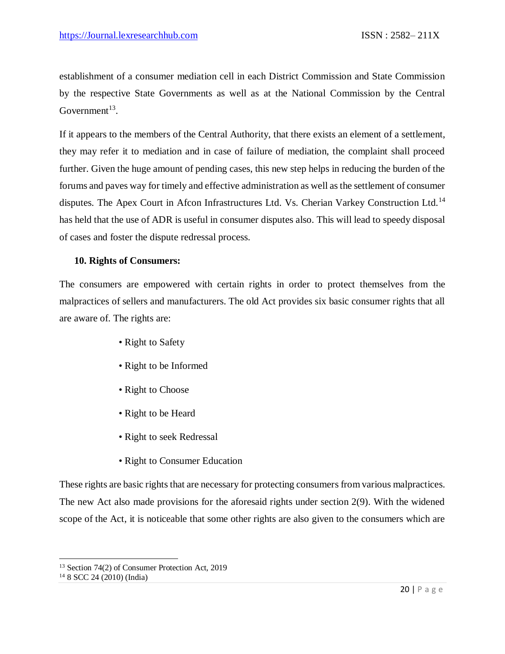establishment of a consumer mediation cell in each District Commission and State Commission by the respective State Governments as well as at the National Commission by the Central Government $^{13}$ .

If it appears to the members of the Central Authority, that there exists an element of a settlement, they may refer it to mediation and in case of failure of mediation, the complaint shall proceed further. Given the huge amount of pending cases, this new step helps in reducing the burden of the forums and paves way for timely and effective administration as well as the settlement of consumer disputes. The Apex Court in Afcon Infrastructures Ltd. Vs. Cherian Varkey Construction Ltd.<sup>14</sup> has held that the use of ADR is useful in consumer disputes also. This will lead to speedy disposal of cases and foster the dispute redressal process.

#### **10. Rights of Consumers:**

The consumers are empowered with certain rights in order to protect themselves from the malpractices of sellers and manufacturers. The old Act provides six basic consumer rights that all are aware of. The rights are:

- Right to Safety
- Right to be Informed
- Right to Choose
- Right to be Heard
- Right to seek Redressal
- Right to Consumer Education

These rights are basic rights that are necessary for protecting consumers from various malpractices. The new Act also made provisions for the aforesaid rights under section 2(9). With the widened scope of the Act, it is noticeable that some other rights are also given to the consumers which are

 $\overline{a}$ 

<sup>&</sup>lt;sup>13</sup> Section 74(2) of Consumer Protection Act, 2019

 $148$  SCC 24 (2010) (India)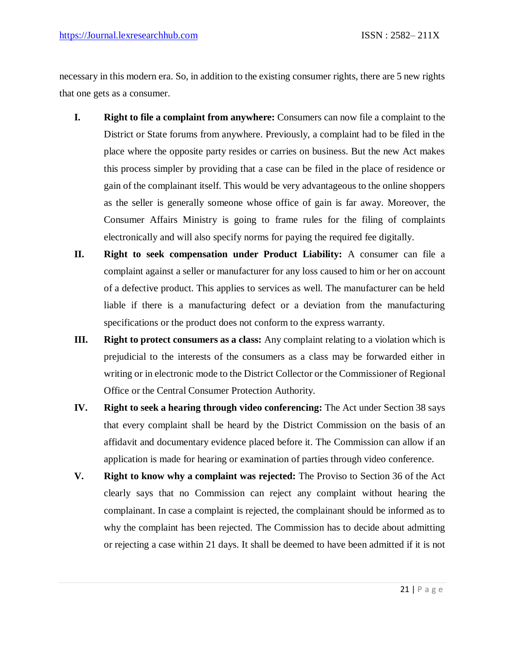necessary in this modern era. So, in addition to the existing consumer rights, there are 5 new rights that one gets as a consumer.

- **I. Right to file a complaint from anywhere:** Consumers can now file a complaint to the District or State forums from anywhere. Previously, a complaint had to be filed in the place where the opposite party resides or carries on business. But the new Act makes this process simpler by providing that a case can be filed in the place of residence or gain of the complainant itself. This would be very advantageous to the online shoppers as the seller is generally someone whose office of gain is far away. Moreover, the Consumer Affairs Ministry is going to frame rules for the filing of complaints electronically and will also specify norms for paying the required fee digitally.
- **II. Right to seek compensation under Product Liability:** A consumer can file a complaint against a seller or manufacturer for any loss caused to him or her on account of a defective product. This applies to services as well. The manufacturer can be held liable if there is a manufacturing defect or a deviation from the manufacturing specifications or the product does not conform to the express warranty.
- **III. Right to protect consumers as a class:** Any complaint relating to a violation which is prejudicial to the interests of the consumers as a class may be forwarded either in writing or in electronic mode to the District Collector or the Commissioner of Regional Office or the Central Consumer Protection Authority.
- **IV. Right to seek a hearing through video conferencing:** The Act under Section 38 says that every complaint shall be heard by the District Commission on the basis of an affidavit and documentary evidence placed before it. The Commission can allow if an application is made for hearing or examination of parties through video conference.
- **V. Right to know why a complaint was rejected:** The Proviso to Section 36 of the Act clearly says that no Commission can reject any complaint without hearing the complainant. In case a complaint is rejected, the complainant should be informed as to why the complaint has been rejected. The Commission has to decide about admitting or rejecting a case within 21 days. It shall be deemed to have been admitted if it is not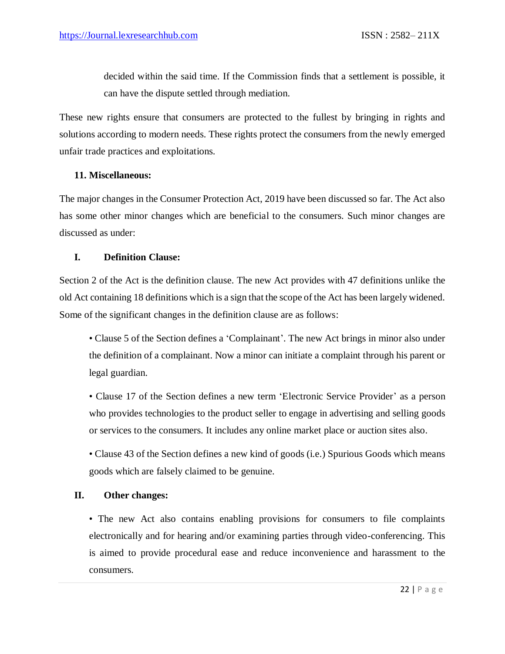decided within the said time. If the Commission finds that a settlement is possible, it can have the dispute settled through mediation.

These new rights ensure that consumers are protected to the fullest by bringing in rights and solutions according to modern needs. These rights protect the consumers from the newly emerged unfair trade practices and exploitations.

#### **11. Miscellaneous:**

The major changes in the Consumer Protection Act, 2019 have been discussed so far. The Act also has some other minor changes which are beneficial to the consumers. Such minor changes are discussed as under:

#### **I. Definition Clause:**

Section 2 of the Act is the definition clause. The new Act provides with 47 definitions unlike the old Act containing 18 definitions which is a sign that the scope of the Act has been largely widened. Some of the significant changes in the definition clause are as follows:

• Clause 5 of the Section defines a 'Complainant'. The new Act brings in minor also under the definition of a complainant. Now a minor can initiate a complaint through his parent or legal guardian.

• Clause 17 of the Section defines a new term 'Electronic Service Provider' as a person who provides technologies to the product seller to engage in advertising and selling goods or services to the consumers. It includes any online market place or auction sites also.

• Clause 43 of the Section defines a new kind of goods (i.e.) Spurious Goods which means goods which are falsely claimed to be genuine.

#### **II. Other changes:**

• The new Act also contains enabling provisions for consumers to file complaints electronically and for hearing and/or examining parties through video-conferencing. This is aimed to provide procedural ease and reduce inconvenience and harassment to the consumers.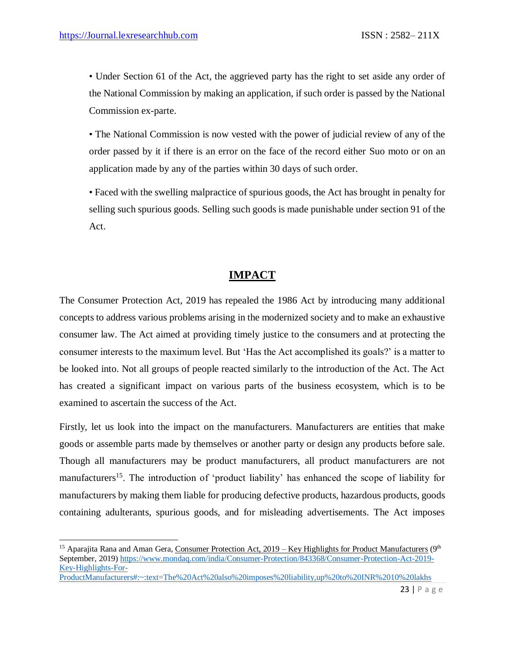$\overline{\phantom{a}}$ 

• Under Section 61 of the Act, the aggrieved party has the right to set aside any order of the National Commission by making an application, if such order is passed by the National Commission ex-parte.

• The National Commission is now vested with the power of judicial review of any of the order passed by it if there is an error on the face of the record either Suo moto or on an application made by any of the parties within 30 days of such order.

• Faced with the swelling malpractice of spurious goods, the Act has brought in penalty for selling such spurious goods. Selling such goods is made punishable under section 91 of the Act.

#### **IMPACT**

The Consumer Protection Act, 2019 has repealed the 1986 Act by introducing many additional concepts to address various problems arising in the modernized society and to make an exhaustive consumer law. The Act aimed at providing timely justice to the consumers and at protecting the consumer interests to the maximum level. But 'Has the Act accomplished its goals?' is a matter to be looked into. Not all groups of people reacted similarly to the introduction of the Act. The Act has created a significant impact on various parts of the business ecosystem, which is to be examined to ascertain the success of the Act.

Firstly, let us look into the impact on the manufacturers. Manufacturers are entities that make goods or assemble parts made by themselves or another party or design any products before sale. Though all manufacturers may be product manufacturers, all product manufacturers are not manufacturers<sup>15</sup>. The introduction of 'product liability' has enhanced the scope of liability for manufacturers by making them liable for producing defective products, hazardous products, goods containing adulterants, spurious goods, and for misleading advertisements. The Act imposes

[ProductManufacturers#:~:text=The%20Act%20also%20imposes%20liability,up%20to%20INR%2010%20lakhs](https://www.mondaq.com/india/Consumer-Protection/843368/Consumer-Protection-Act-2019-Key-Highlights-For-ProductManufacturers#:~:text=The%20Act%20also%20imposes%20liability,up%20to%20INR%2010%20lakhs) 

<sup>&</sup>lt;sup>15</sup> Aparajita Rana and Aman Gera, Consumer Protection Act, 2019 – Key Highlights for Product Manufacturers ( $9<sup>th</sup>$ September, 2019[\) https://www.mondaq.com/india/Consumer-Protection/843368/Consumer-Protection-Act-2019-](https://www.mondaq.com/india/Consumer-Protection/843368/Consumer-Protection-Act-2019-Key-Highlights-For-ProductManufacturers#:~:text=The%20Act%20also%20imposes%20liability,up%20to%20INR%2010%20lakhs) [Key-Highlights-For-](https://www.mondaq.com/india/Consumer-Protection/843368/Consumer-Protection-Act-2019-Key-Highlights-For-ProductManufacturers#:~:text=The%20Act%20also%20imposes%20liability,up%20to%20INR%2010%20lakhs)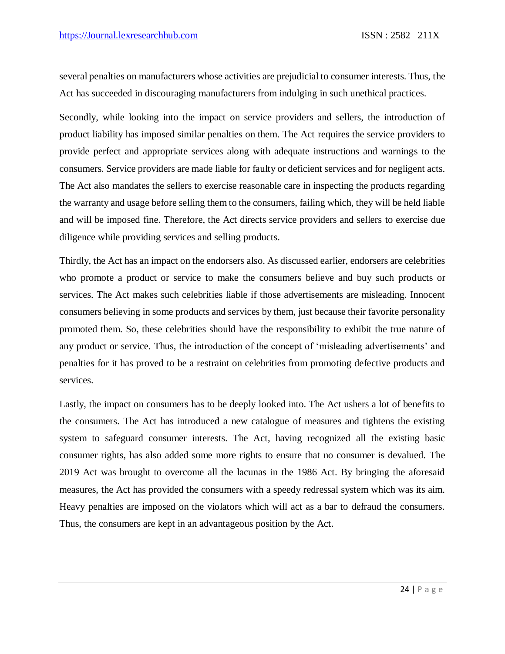several penalties on manufacturers whose activities are prejudicial to consumer interests. Thus, the Act has succeeded in discouraging manufacturers from indulging in such unethical practices.

Secondly, while looking into the impact on service providers and sellers, the introduction of product liability has imposed similar penalties on them. The Act requires the service providers to provide perfect and appropriate services along with adequate instructions and warnings to the consumers. Service providers are made liable for faulty or deficient services and for negligent acts. The Act also mandates the sellers to exercise reasonable care in inspecting the products regarding the warranty and usage before selling them to the consumers, failing which, they will be held liable and will be imposed fine. Therefore, the Act directs service providers and sellers to exercise due diligence while providing services and selling products.

Thirdly, the Act has an impact on the endorsers also. As discussed earlier, endorsers are celebrities who promote a product or service to make the consumers believe and buy such products or services. The Act makes such celebrities liable if those advertisements are misleading. Innocent consumers believing in some products and services by them, just because their favorite personality promoted them. So, these celebrities should have the responsibility to exhibit the true nature of any product or service. Thus, the introduction of the concept of 'misleading advertisements' and penalties for it has proved to be a restraint on celebrities from promoting defective products and services.

Lastly, the impact on consumers has to be deeply looked into. The Act ushers a lot of benefits to the consumers. The Act has introduced a new catalogue of measures and tightens the existing system to safeguard consumer interests. The Act, having recognized all the existing basic consumer rights, has also added some more rights to ensure that no consumer is devalued. The 2019 Act was brought to overcome all the lacunas in the 1986 Act. By bringing the aforesaid measures, the Act has provided the consumers with a speedy redressal system which was its aim. Heavy penalties are imposed on the violators which will act as a bar to defraud the consumers. Thus, the consumers are kept in an advantageous position by the Act.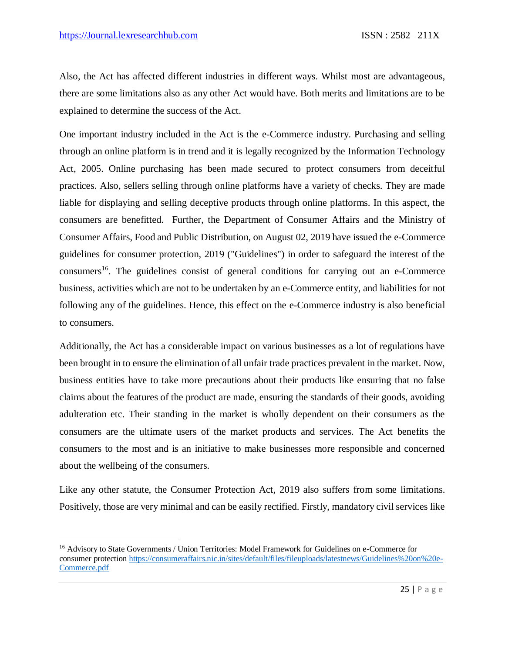Also, the Act has affected different industries in different ways. Whilst most are advantageous, there are some limitations also as any other Act would have. Both merits and limitations are to be explained to determine the success of the Act.

One important industry included in the Act is the e-Commerce industry. Purchasing and selling through an online platform is in trend and it is legally recognized by the Information Technology Act, 2005. Online purchasing has been made secured to protect consumers from deceitful practices. Also, sellers selling through online platforms have a variety of checks. They are made liable for displaying and selling deceptive products through online platforms. In this aspect, the consumers are benefitted. Further, the Department of Consumer Affairs and the Ministry of Consumer Affairs, Food and Public Distribution, on August 02, 2019 have issued the e-Commerce guidelines for consumer protection, 2019 ("Guidelines") in order to safeguard the interest of the consumers<sup>16</sup>. The guidelines consist of general conditions for carrying out an e-Commerce business, activities which are not to be undertaken by an e-Commerce entity, and liabilities for not following any of the guidelines. Hence, this effect on the e-Commerce industry is also beneficial to consumers.

Additionally, the Act has a considerable impact on various businesses as a lot of regulations have been brought in to ensure the elimination of all unfair trade practices prevalent in the market. Now, business entities have to take more precautions about their products like ensuring that no false claims about the features of the product are made, ensuring the standards of their goods, avoiding adulteration etc. Their standing in the market is wholly dependent on their consumers as the consumers are the ultimate users of the market products and services. The Act benefits the consumers to the most and is an initiative to make businesses more responsible and concerned about the wellbeing of the consumers.

Like any other statute, the Consumer Protection Act, 2019 also suffers from some limitations. Positively, those are very minimal and can be easily rectified. Firstly, mandatory civil services like

 $\overline{\phantom{a}}$ <sup>16</sup> Advisory to State Governments / Union Territories: Model Framework for Guidelines on e-Commerce for consumer protection [https://consumeraffairs.nic.in/sites/default/files/fileuploads/latestnews/Guidelines%20on%20e-](https://consumeraffairs.nic.in/sites/default/files/fileuploads/latestnews/Guidelines%20on%20e-Commerce.pdf)[Commerce.pdf](https://consumeraffairs.nic.in/sites/default/files/fileuploads/latestnews/Guidelines%20on%20e-Commerce.pdf)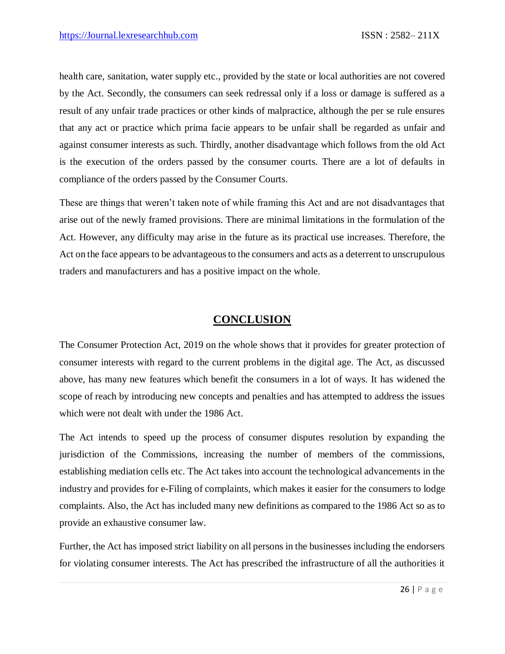health care, sanitation, water supply etc., provided by the state or local authorities are not covered by the Act. Secondly, the consumers can seek redressal only if a loss or damage is suffered as a result of any unfair trade practices or other kinds of malpractice, although the per se rule ensures that any act or practice which prima facie appears to be unfair shall be regarded as unfair and against consumer interests as such. Thirdly, another disadvantage which follows from the old Act is the execution of the orders passed by the consumer courts. There are a lot of defaults in compliance of the orders passed by the Consumer Courts.

These are things that weren't taken note of while framing this Act and are not disadvantages that arise out of the newly framed provisions. There are minimal limitations in the formulation of the Act. However, any difficulty may arise in the future as its practical use increases. Therefore, the Act on the face appears to be advantageous to the consumers and acts as a deterrent to unscrupulous traders and manufacturers and has a positive impact on the whole.

#### **CONCLUSION**

The Consumer Protection Act, 2019 on the whole shows that it provides for greater protection of consumer interests with regard to the current problems in the digital age. The Act, as discussed above, has many new features which benefit the consumers in a lot of ways. It has widened the scope of reach by introducing new concepts and penalties and has attempted to address the issues which were not dealt with under the 1986 Act.

The Act intends to speed up the process of consumer disputes resolution by expanding the jurisdiction of the Commissions, increasing the number of members of the commissions, establishing mediation cells etc. The Act takes into account the technological advancements in the industry and provides for e-Filing of complaints, which makes it easier for the consumers to lodge complaints. Also, the Act has included many new definitions as compared to the 1986 Act so as to provide an exhaustive consumer law.

Further, the Act has imposed strict liability on all persons in the businesses including the endorsers for violating consumer interests. The Act has prescribed the infrastructure of all the authorities it